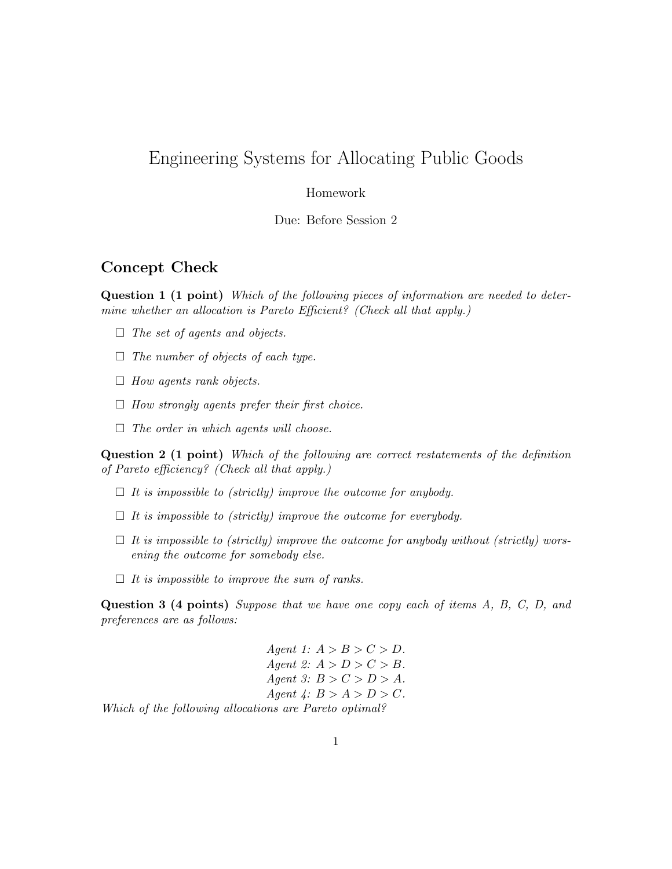# Engineering Systems for Allocating Public Goods

#### Homework

Due: Before Session 2

# Concept Check

Question 1 (1 point) Which of the following pieces of information are needed to determine whether an allocation is Pareto Efficient? (Check all that apply.)

- $\Box$  The set of agents and objects.
- $\Box$  The number of objects of each type.
- $\Box$  How agents rank objects.
- $\Box$  How strongly agents prefer their first choice.
- $\Box$  The order in which agents will choose.

Question 2 (1 point) Which of the following are correct restatements of the definition of Pareto efficiency? (Check all that apply.)

- $\Box$  It is impossible to (strictly) improve the outcome for anybody.
- $\Box$  It is impossible to (strictly) improve the outcome for everybody.
- $\Box$  It is impossible to (strictly) improve the outcome for anybody without (strictly) worsening the outcome for somebody else.
- $\Box$  It is impossible to improve the sum of ranks.

<span id="page-0-0"></span>Question 3 (4 points) Suppose that we have one copy each of items A, B, C, D, and preferences are as follows:

Agent 1:  $A > B > C > D$ . Agent 2:  $A > D > C > B$ . Agent 3:  $B > C > D > A$ . Agent  $\mathcal{L}: B > A > D > C$ . Which of the following allocations are Pareto optimal?

1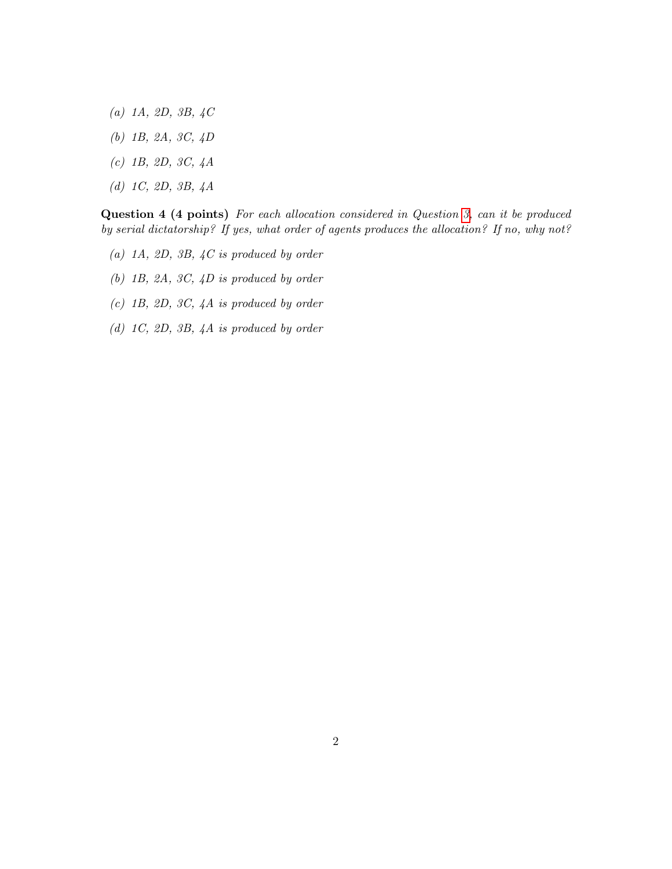- (a) 1A, 2D, 3B, 4C
- (b) 1B, 2A, 3C, 4D
- (c) 1B, 2D, 3C, 4A
- (d) 1C, 2D, 3B, 4A

Question 4 (4 points) For each allocation considered in Question [3,](#page-0-0) can it be produced by serial dictatorship? If yes, what order of agents produces the allocation? If no, why not?

- (a) 1A, 2D, 3B,  $4C$  is produced by order
- (b) 1B, 2A, 3C, 4D is produced by order
- (c) 1B, 2D, 3C, 4A is produced by order
- (d) 1C, 2D, 3B, 4A is produced by order